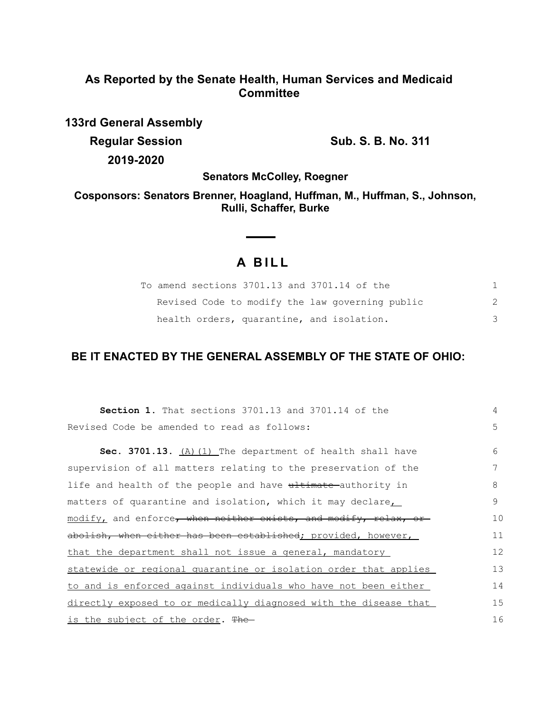# **As Reported by the Senate Health, Human Services and Medicaid Committee**

**133rd General Assembly Regular Session Sub. S. B. No. 311 2019-2020**

**Senators McColley, Roegner**

**Cosponsors: Senators Brenner, Hoagland, Huffman, M., Huffman, S., Johnson, Rulli, Schaffer, Burke**

 $\overline{\phantom{0}}$ 

# **A B I L L**

 $\sim$ 

| To amend sections 3701.13 and 3701.14 of the    |  |
|-------------------------------------------------|--|
| Revised Code to modify the law governing public |  |
| health orders, quarantine, and isolation.       |  |

# **BE IT ENACTED BY THE GENERAL ASSEMBLY OF THE STATE OF OHIO:**

| <b>Section 1.</b> That sections 3701.13 and 3701.14 of the       | 4  |  |
|------------------------------------------------------------------|----|--|
| Revised Code be amended to read as follows:                      | 5  |  |
| Sec. 3701.13. (A) (1) The department of health shall have        | 6  |  |
| supervision of all matters relating to the preservation of the   | 7  |  |
| life and health of the people and have ultimate authority in     | 8  |  |
| matters of quarantine and isolation, which it may declare        | 9  |  |
| modify, and enforce, when neither exists, and modify, relax, or  | 10 |  |
| abolish, when either has been established; provided, however,    | 11 |  |
| that the department shall not issue a general, mandatory         | 12 |  |
| statewide or regional quarantine or isolation order that applies | 13 |  |
| to and is enforced against individuals who have not been either  | 14 |  |
| directly exposed to or medically diagnosed with the disease that | 15 |  |
| <u>is the subject of the order</u> . The                         |    |  |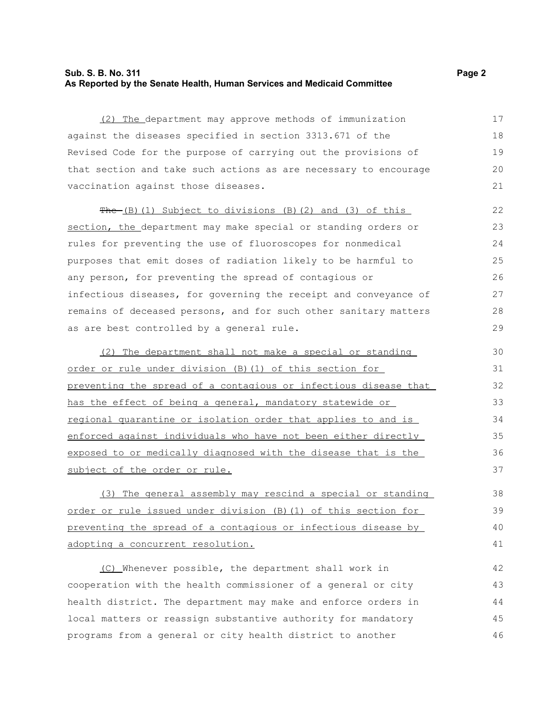### **Sub. S. B. No. 311 Page 2 As Reported by the Senate Health, Human Services and Medicaid Committee**

(2) The department may approve methods of immunization against the diseases specified in section 3313.671 of the Revised Code for the purpose of carrying out the provisions of that section and take such actions as are necessary to encourage vaccination against those diseases.

 $The (B) (1) Subject to divisions (B) (2) and (3) of this$ section, the department may make special or standing orders or rules for preventing the use of fluoroscopes for nonmedical purposes that emit doses of radiation likely to be harmful to any person, for preventing the spread of contagious or infectious diseases, for governing the receipt and conveyance of remains of deceased persons, and for such other sanitary matters as are best controlled by a general rule. 22 23 24 25 26 27 28 29

(2) The department shall not make a special or standing order or rule under division (B)(1) of this section for preventing the spread of a contagious or infectious disease that has the effect of being a general, mandatory statewide or regional quarantine or isolation order that applies to and is enforced against individuals who have not been either directly exposed to or medically diagnosed with the disease that is the subject of the order or rule.

(3) The general assembly may rescind a special or standing order or rule issued under division (B)(1) of this section for preventing the spread of a contagious or infectious disease by adopting a concurrent resolution.

(C) Whenever possible, the department shall work in cooperation with the health commissioner of a general or city health district. The department may make and enforce orders in local matters or reassign substantive authority for mandatory programs from a general or city health district to another 42 43 44 45 46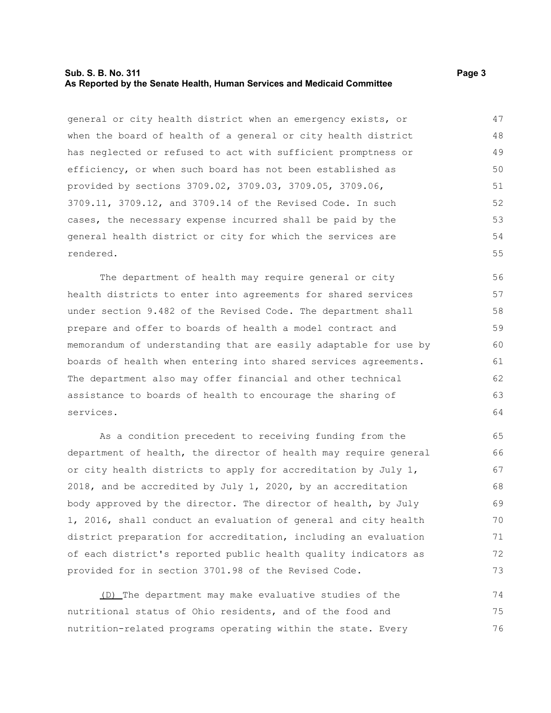#### **Sub. S. B. No. 311 Page 3 As Reported by the Senate Health, Human Services and Medicaid Committee**

general or city health district when an emergency exists, or when the board of health of a general or city health district has neglected or refused to act with sufficient promptness or efficiency, or when such board has not been established as provided by sections 3709.02, 3709.03, 3709.05, 3709.06, 3709.11, 3709.12, and 3709.14 of the Revised Code. In such cases, the necessary expense incurred shall be paid by the general health district or city for which the services are rendered. 47 48 49 50 51 52 53 54 55

The department of health may require general or city health districts to enter into agreements for shared services under section 9.482 of the Revised Code. The department shall prepare and offer to boards of health a model contract and memorandum of understanding that are easily adaptable for use by boards of health when entering into shared services agreements. The department also may offer financial and other technical assistance to boards of health to encourage the sharing of services.

As a condition precedent to receiving funding from the department of health, the director of health may require general or city health districts to apply for accreditation by July 1, 2018, and be accredited by July 1, 2020, by an accreditation body approved by the director. The director of health, by July 1, 2016, shall conduct an evaluation of general and city health district preparation for accreditation, including an evaluation of each district's reported public health quality indicators as provided for in section 3701.98 of the Revised Code.

(D) The department may make evaluative studies of the nutritional status of Ohio residents, and of the food and nutrition-related programs operating within the state. Every 74 75 76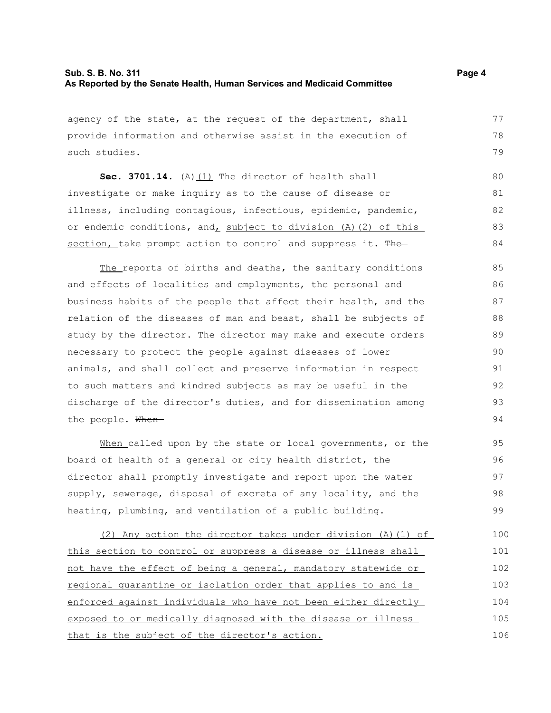agency of the state, at the request of the department, shall provide information and otherwise assist in the execution of such studies.

**Sec. 3701.14.** (A)(1) The director of health shall investigate or make inquiry as to the cause of disease or illness, including contagious, infectious, epidemic, pandemic, or endemic conditions, and, subject to division (A)(2) of this section, take prompt action to control and suppress it. The 80 81 82 83 84

The reports of births and deaths, the sanitary conditions and effects of localities and employments, the personal and business habits of the people that affect their health, and the relation of the diseases of man and beast, shall be subjects of study by the director. The director may make and execute orders necessary to protect the people against diseases of lower animals, and shall collect and preserve information in respect to such matters and kindred subjects as may be useful in the discharge of the director's duties, and for dissemination among the people. When-85 86 87 88 89 90 91 92 93 94

When called upon by the state or local governments, or the board of health of a general or city health district, the director shall promptly investigate and report upon the water supply, sewerage, disposal of excreta of any locality, and the heating, plumbing, and ventilation of a public building.

(2) Any action the director takes under division (A)(1) of this section to control or suppress a disease or illness shall not have the effect of being a general, mandatory statewide or regional quarantine or isolation order that applies to and is enforced against individuals who have not been either directly exposed to or medically diagnosed with the disease or illness that is the subject of the director's action. 100 101 102 103 104 105 106

77 78 79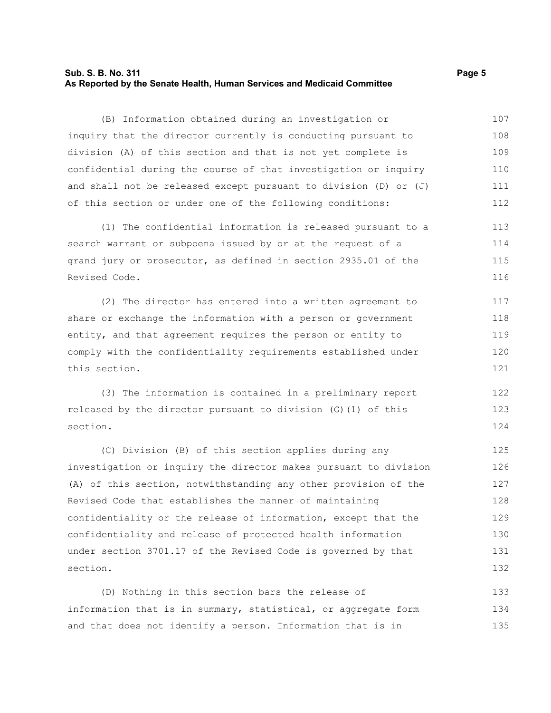### **Sub. S. B. No. 311 Page 5 As Reported by the Senate Health, Human Services and Medicaid Committee**

(B) Information obtained during an investigation or inquiry that the director currently is conducting pursuant to division (A) of this section and that is not yet complete is confidential during the course of that investigation or inquiry and shall not be released except pursuant to division (D) or (J) of this section or under one of the following conditions: 107 108 109 110 111 112

(1) The confidential information is released pursuant to a search warrant or subpoena issued by or at the request of a grand jury or prosecutor, as defined in section 2935.01 of the Revised Code. 113 114 115 116

(2) The director has entered into a written agreement to share or exchange the information with a person or government entity, and that agreement requires the person or entity to comply with the confidentiality requirements established under this section. 117 118 119 120 121

(3) The information is contained in a preliminary report released by the director pursuant to division (G)(1) of this section. 122 123 124

(C) Division (B) of this section applies during any investigation or inquiry the director makes pursuant to division (A) of this section, notwithstanding any other provision of the Revised Code that establishes the manner of maintaining confidentiality or the release of information, except that the confidentiality and release of protected health information under section 3701.17 of the Revised Code is governed by that section. 125 126 127 128 129 130 131 132

(D) Nothing in this section bars the release of information that is in summary, statistical, or aggregate form and that does not identify a person. Information that is in 133 134 135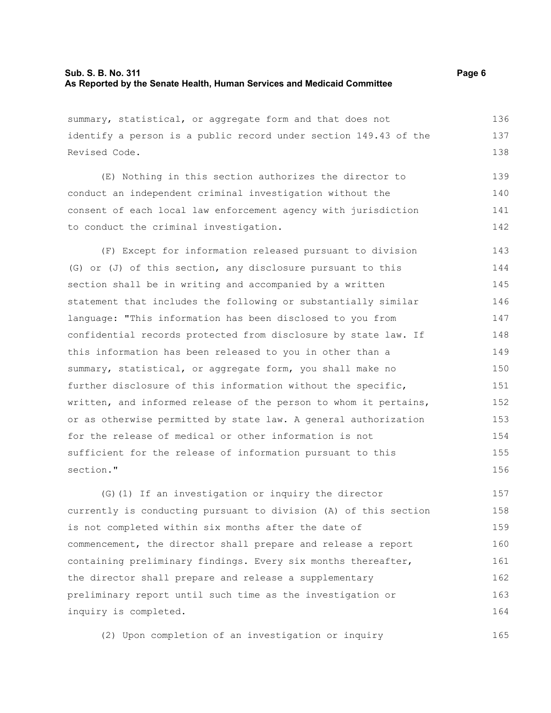summary, statistical, or aggregate form and that does not identify a person is a public record under section 149.43 of the Revised Code. (E) Nothing in this section authorizes the director to conduct an independent criminal investigation without the consent of each local law enforcement agency with jurisdiction to conduct the criminal investigation. (F) Except for information released pursuant to division (G) or (J) of this section, any disclosure pursuant to this section shall be in writing and accompanied by a written statement that includes the following or substantially similar language: "This information has been disclosed to you from confidential records protected from disclosure by state law. If this information has been released to you in other than a summary, statistical, or aggregate form, you shall make no further disclosure of this information without the specific, written, and informed release of the person to whom it pertains, or as otherwise permitted by state law. A general authorization for the release of medical or other information is not sufficient for the release of information pursuant to this section." (G)(1) If an investigation or inquiry the director currently is conducting pursuant to division (A) of this section 136 137 138 139 140 141 142 143 144 145 146 147 148 149 150 151 152 153 154 155 156 157 158

is not completed within six months after the date of commencement, the director shall prepare and release a report containing preliminary findings. Every six months thereafter, the director shall prepare and release a supplementary preliminary report until such time as the investigation or inquiry is completed. 159 160 161 162 163 164

(2) Upon completion of an investigation or inquiry 165